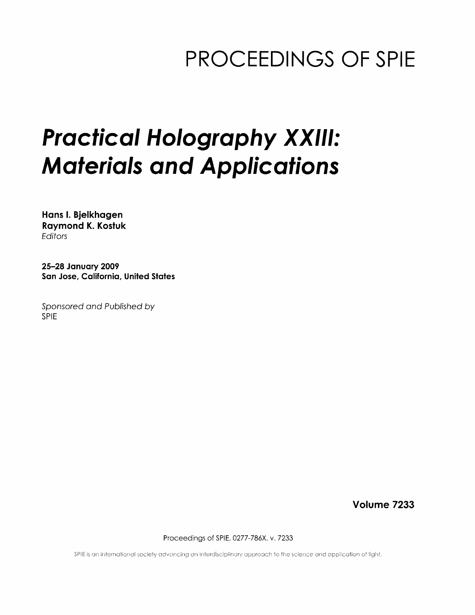## PROCEEDINGS OF SPIE

# Practical Holography XXIII: Materials and Applications

Hans I. Bjelkhagen Raymond K. Kostuk **Editors** 

25-28 January 2009 San Jose, California, United States

Sponsored and Published by SPIE

Volume 7233

Proceedings of SPIE, 0277-786X, v. 7233

SPIE is an international society advancing an interdisciplinary approach to the science and application of light.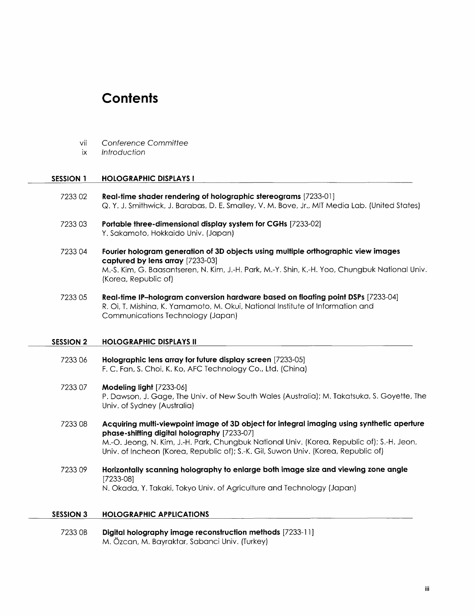### **Contents**

- vii Conference Committee
- ix Introduction

#### SESSION 1 HOLOGRAPHIC DISPLAYS I

- 7233 02 Real-time shader rendering of holographic stereograms [7233-01 ] Q. Y. J. Smithwick, J. Barabas, D. E. Smalley, V. M. Bove, Jr., MIT Media Lab. (United States)
- <sup>7233</sup> 03 Portable three-dimensional display system for CGHs [7233-02] Y. Sakamoto, Hokkaido Univ. (Japan)
- 7233 04 Fourier hologram generation of 3D objects using multiple orthographic view images captured by lens array [7233-03] M.-S. Kim, G. Baasantseren, N. Kim, J.-H. Park, M.-Y. Shin, K.-H. Yoo, Chungbuk National Univ. (Korea, Republic of)
- 7233 05 Real-time IP-hologram conversion hardware based on floating point DSPs [7233-04] R. Oi, T. Mishina, K. Yamamoto, M. Okui, National Institute of Information and Communications Technology (Japan)

#### SESSION 2 HOLOGRAPHIC DISPLAYS II

- 7233 06 Holographic lens array for future display screen [7233-05] F. C. Fan, S. Choi, K. Ko, AFC Technology Co., Ltd. (China)
- 7233 07 Modeling light [7233-06] P. Dawson, J. Gage, The Univ. of New South Wales (Australia); M. Takatsuka, S. Goyette, The Univ. of Sydney (Australia)
- 7233 08 Acquiring multi-viewpoint image of 3D object for integral imaging using synthetic aperture phase-shifting digital holography [7233-07] M.-O. Jeong, N. Kim, J.-H. Park, Chungbuk National Univ. (Korea, Republic of); S.-H. Jeon, Univ. of Incheon (Korea, Republic of); S.-K. Gil, Suwon Univ. (Korea, Republic of)
- <sup>7233</sup> <sup>09</sup> Horizontally scanning holography to enlarge both image size and viewing zone angle [7233-08] N. Okada, Y. Takaki, Tokyo Univ. of Agriculture and Technology (Japan)

#### SESSION <sup>3</sup> HOLOGRAPHIC APPLICATIONS

7233 0B Digital holography image reconstruction methods [7233-11; M. Ozcan, M. Bayraktar, Sabanci Univ. (Turkey)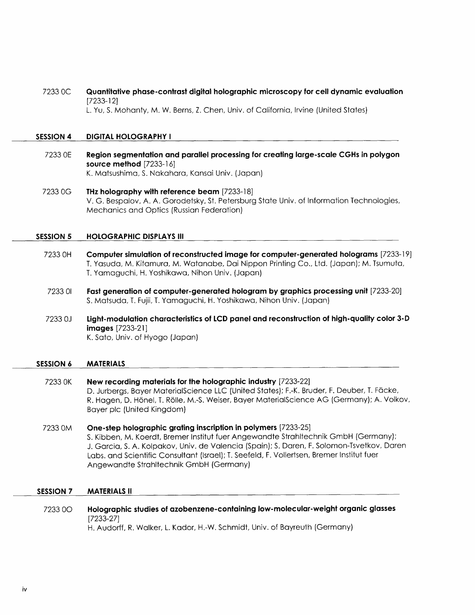7233 OC Quantitative phase-contrast digital holographic microscopy for cell dynamic evaluation [7233-12] L. Yu, S. Mohanty, M. W. Berns, Z. Chen, Univ. of California, Irvine (United States)

#### SESSION 4 DIGITAL HOLOGRAPHY <sup>1</sup>

- 7233 OE Region segmentation and parallel processing for creating large-scale CGHs in polygon source method [7233-16] K. Matsushima, S. Nakahara, Kansai Univ. (Japan)
- <sup>7233</sup> OG THz holography with reference beam [7233-18] V. G. Bespalov, A. A. Gorodetsky, St. Petersburg State Univ. of Information Technologies, Mechanics and Optics (Russian Federation)

#### SESSION 5 HOLOGRAPHIC DISPLAYS III

- 7233 OH Computer simulation of reconstructed image for computer-generated holograms [7233-19] T. Yasuda, M. Kitamura, M. Watanabe, Dai Nippon Printing Co., Ltd. (Japan); M. Tsumuta, T. Yamaguchi, H. Yoshikawa, Nihon Univ. (Japan)
- 7233 <sup>01</sup> Fast generation of computer-generated hologram by graphics processing unit [7233-20] S. Matsuda, T. Fujii, T. Yamaguchi, H. Yoshikawa, Nihon Univ. (Japan)
- 7233 OJ Light-modulation characteristics of LCD panel and reconstruction of high-quality color 3-D images [7233-21] K. Sato, Univ. of Hyogo (Japan)

#### SESSION 6 MATERIALS

- <sup>7233</sup> OK New recording materials for the holographic industry [7233-22] D. Jurbergs, Bayer MaterialScience LLC (United States); F.-K. Bruder, F. Deuber, T. Fdcke, R. Hagen, D. Honel, T. Rolle, M.-S. Weiser, Bayer MaterialScience AG (Germany); A. Volkov, Bayer pic (United Kingdom)
- 7233 OM One-step holographic grating inscription in polymers [7233-25] S. Kibben, M. Koerdt, Bremer Institut fuer Angewandte Strahltechnik GmbH (Germany); J. Garcia, S. A. Kolpakov, Univ. de Valencia (Spain); S. Daren, F. Solomon-Tsvetkov, Daren Labs, and Scientific Consultant (Israel); T. Seefeld, F. Vollertsen, Bremer Institut fuer Angewandte Strahltechnik GmbH (Germany)

#### SESSION 7 MATERIALS II

7233 00 Holographic studies of azobenzene-containing low-molecular-weight organic glasses [7233-27] H. Audorff, R. Walker, L. Kador, H.-W. Schmidt, Univ. of Bayreuth (Germany)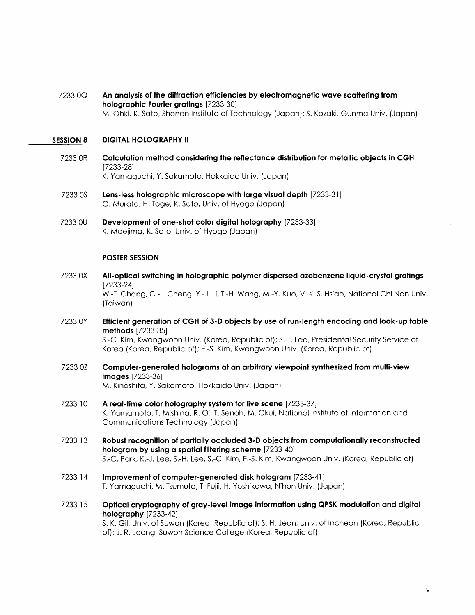7233 OQ An analysis of the diffraction efficiencies by electromagnetic wave scattering from holographic Fourier gratings [7233-30] M. Ohki, K. Sato, Shonan Institute of Technology (Japan); S. Kozaki, Gunma Univ. (Japan)

#### SESSION <sup>8</sup> DIGITAL HOLOGRAPHY II

- 7233 OR Calculation method considering the reflectance distribution for metallic objects in CGH [7233-28] K. Yamaguchi, Y. Sakamoto, Hokkaido Univ. (Japan)
- 7233 OS Lens-less holographic microscope with large visual depth [7233-31 ] O. Murata, H. Toge, K. Sato, Univ. of Hyogo (Japan)
- 7233 0U Development of one-shot color digital holography [7233-33] K. Maejima, K. Sato, Univ. of Hyogo (Japan)

#### POSTER SESSION

- 7233 OX All-optical switching in holographic polymer dispersed azobenzene liquid-crystal gratings [7233-24] W.-T. Chang, C.-L. Cheng, Y.-J. Li, T.-H. Wang, M.-Y. Kuo, V. K. S. Hsiao, National Chi Nan Univ. (Taiwan) <sup>7233</sup> 0Y Efficient generation of CGH of 3-D objects by use of run-length encoding and look-up table methods [7233-35] S.-C. Kim, Kwangwoon Univ. (Korea, Republic of); S.-T. Lee, Presidental Security Service of Korea (Korea, Republic of); E.-S. Kim, Kwangwoon Univ. (Korea, Republic of) 7233 0Z Computer-generated holograms at an arbitrary viewpoint synthesized from multi-view images [7233-36] M. Kinoshita, Y. Sakamoto, Hokkaido Univ. (Japan) 7233 <sup>10</sup> A real-time color holography system for live scene [7233-37] K. Yamamoto, T. Mishina, R. Oi, T. Senoh, M. Okui, National Institute of Information and Communications Technology (Japan)
- 7233 13 Robust recognition of partially occluded 3-D objects from computationally reconstructed hologram by using a spatial filtering scheme [7233-40] S.-C. Park, K.-J. Lee, S.-H. Lee, S.-C. Kim, E.-S. Kim, Kwangwoon Univ. (Korea, Republic of)
- 7233 <sup>14</sup> Improvement of computer-generated disk hologram [7233-41 ] T. Yamaguchi, M. Tsumuta, T. Fujii, H. Yoshikawa, Nihon Univ. (Japan)
- 7233 <sup>15</sup> Optical cryptography of gray-level image information using QPSK modulation and digital holography [7233-42]

S. K. Gil, Univ. of Suwon (Korea, Republic of); S. H. Jeon, Univ. of Incheon (Korea, Republic of); J. R. Jeong, Suwon Science College (Korea, Republic of)